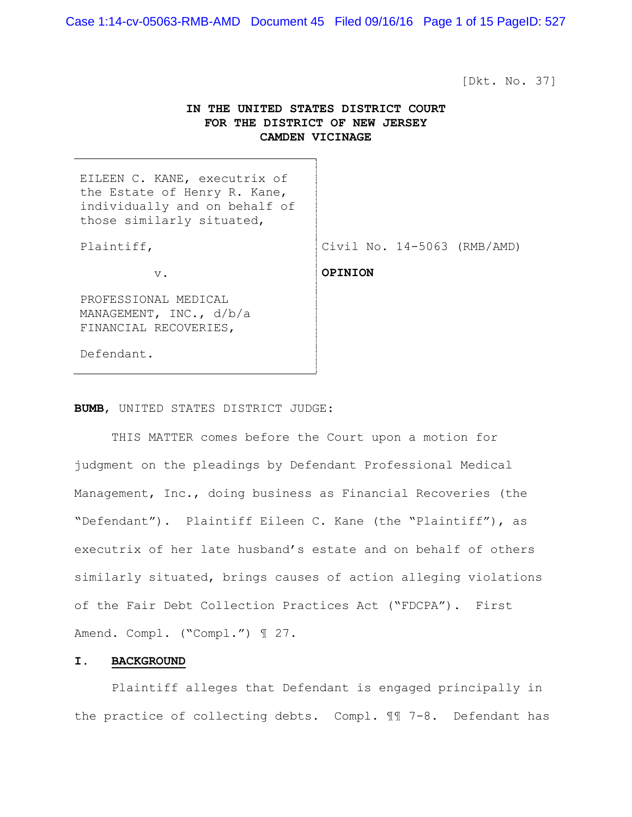Case 1:14-cv-05063-RMB-AMD Document 45 Filed 09/16/16 Page 1 of 15 PageID: 527

[Dkt. No. 37]

# **IN THE UNITED STATES DISTRICT COURT FOR THE DISTRICT OF NEW JERSEY CAMDEN VICINAGE**

| EILEEN C. KANE, executrix of<br>the Estate of Henry R. Kane,<br>individually and on behalf of<br>those similarly situated, |                               |
|----------------------------------------------------------------------------------------------------------------------------|-------------------------------|
| Plaintiff,                                                                                                                 | Civil No. $14-5063$ (RMB/AMD) |
| $V$ .                                                                                                                      | <b>OPINION</b>                |
| PROFESSIONAL MEDICAL<br>MANAGEMENT, INC., $d/b/a$<br>FINANCIAL RECOVERIES,                                                 |                               |
| Defendant.                                                                                                                 |                               |

# **BUMB**, UNITED STATES DISTRICT JUDGE:

 THIS MATTER comes before the Court upon a motion for judgment on the pleadings by Defendant Professional Medical Management, Inc., doing business as Financial Recoveries (the "Defendant"). Plaintiff Eileen C. Kane (the "Plaintiff"), as executrix of her late husband's estate and on behalf of others similarly situated, brings causes of action alleging violations of the Fair Debt Collection Practices Act ("FDCPA"). First Amend. Compl. ("Compl.") 1 27.

### **I. BACKGROUND**

 Plaintiff alleges that Defendant is engaged principally in the practice of collecting debts. Compl. ¶¶ 7-8. Defendant has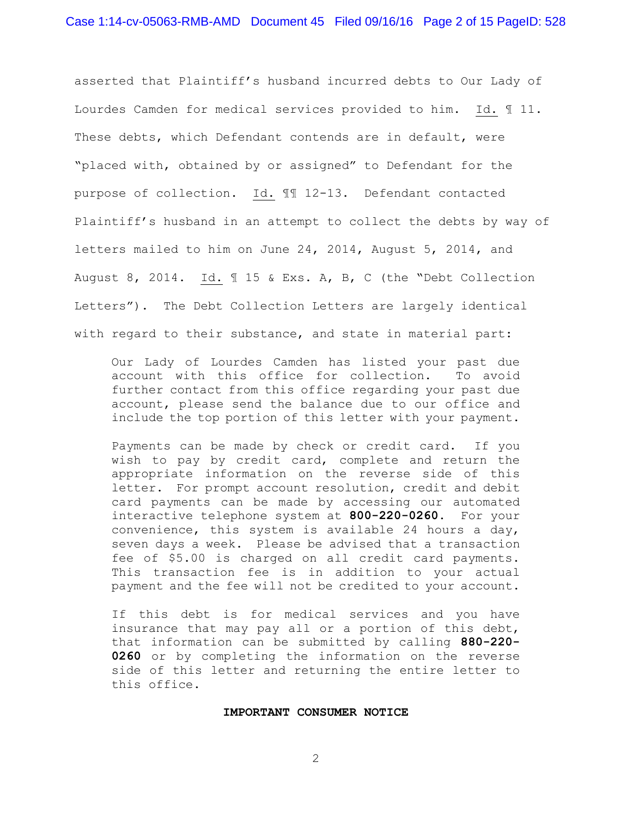asserted that Plaintiff's husband incurred debts to Our Lady of Lourdes Camden for medical services provided to him. Id. ¶ 11. These debts, which Defendant contends are in default, were "placed with, obtained by or assigned" to Defendant for the purpose of collection. Id. ¶¶ 12-13. Defendant contacted Plaintiff's husband in an attempt to collect the debts by way of letters mailed to him on June 24, 2014, August 5, 2014, and August 8, 2014. Id. ¶ 15 & Exs. A, B, C (the "Debt Collection Letters"). The Debt Collection Letters are largely identical with regard to their substance, and state in material part:

Our Lady of Lourdes Camden has listed your past due account with this office for collection. To avoid further contact from this office regarding your past due account, please send the balance due to our office and include the top portion of this letter with your payment.

Payments can be made by check or credit card. If you wish to pay by credit card, complete and return the appropriate information on the reverse side of this letter. For prompt account resolution, credit and debit card payments can be made by accessing our automated interactive telephone system at **800-220-0260**. For your convenience, this system is available 24 hours a day, seven days a week. Please be advised that a transaction fee of \$5.00 is charged on all credit card payments. This transaction fee is in addition to your actual payment and the fee will not be credited to your account.

If this debt is for medical services and you have insurance that may pay all or a portion of this debt, that information can be submitted by calling **880-220- 0260** or by completing the information on the reverse side of this letter and returning the entire letter to this office.

#### **IMPORTANT CONSUMER NOTICE**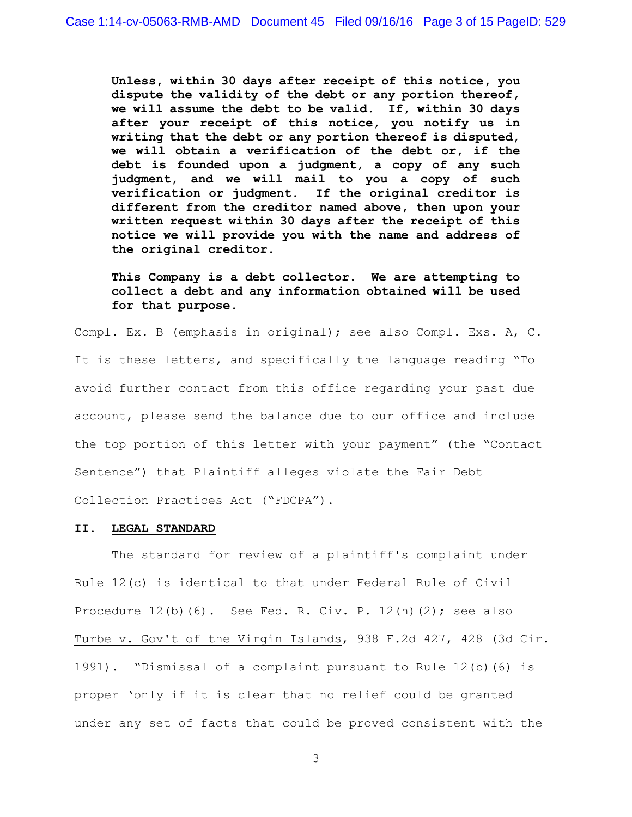**Unless, within 30 days after receipt of this notice, you dispute the validity of the debt or any portion thereof, we will assume the debt to be valid. If, within 30 days after your receipt of this notice, you notify us in writing that the debt or any portion thereof is disputed, we will obtain a verification of the debt or, if the debt is founded upon a judgment, a copy of any such judgment, and we will mail to you a copy of such verification or judgment. If the original creditor is different from the creditor named above, then upon your written request within 30 days after the receipt of this notice we will provide you with the name and address of the original creditor.** 

**This Company is a debt collector. We are attempting to collect a debt and any information obtained will be used for that purpose.** 

Compl. Ex. B (emphasis in original); see also Compl. Exs. A, C. It is these letters, and specifically the language reading "To avoid further contact from this office regarding your past due account, please send the balance due to our office and include the top portion of this letter with your payment" (the "Contact Sentence") that Plaintiff alleges violate the Fair Debt Collection Practices Act ("FDCPA").

#### **II. LEGAL STANDARD**

 The standard for review of a plaintiff's complaint under Rule 12(c) is identical to that under Federal Rule of Civil Procedure 12(b)(6). See Fed. R. Civ. P. 12(h)(2); see also Turbe v. Gov't of the Virgin Islands, 938 F.2d 427, 428 (3d Cir. 1991). "Dismissal of a complaint pursuant to Rule 12(b)(6) is proper 'only if it is clear that no relief could be granted under any set of facts that could be proved consistent with the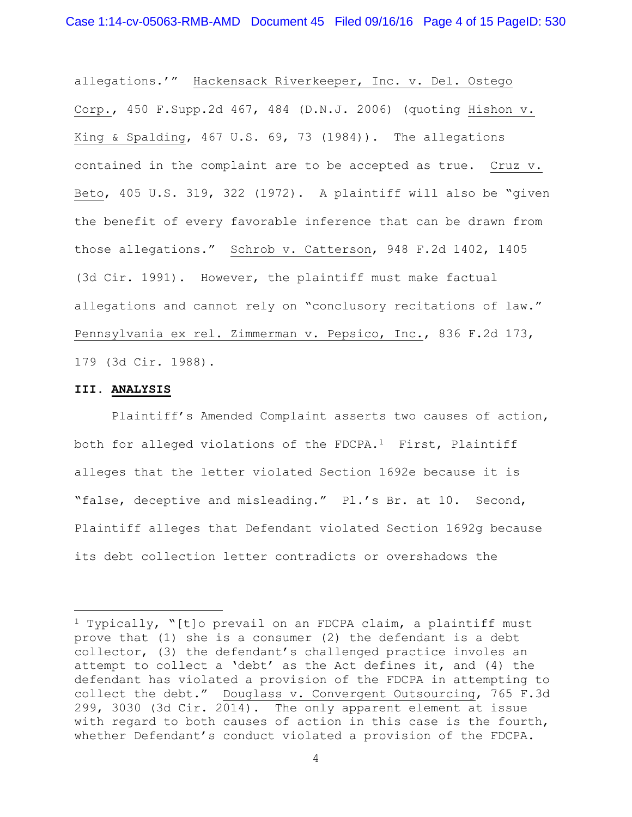allegations.'" Hackensack Riverkeeper, Inc. v. Del. Ostego Corp., 450 F.Supp.2d 467, 484 (D.N.J. 2006) (quoting Hishon v. King & Spalding, 467 U.S. 69, 73 (1984)). The allegations contained in the complaint are to be accepted as true. Cruz v. Beto, 405 U.S. 319, 322 (1972). A plaintiff will also be "given the benefit of every favorable inference that can be drawn from those allegations." Schrob v. Catterson, 948 F.2d 1402, 1405 (3d Cir. 1991). However, the plaintiff must make factual allegations and cannot rely on "conclusory recitations of law." Pennsylvania ex rel. Zimmerman v. Pepsico, Inc., 836 F.2d 173, 179 (3d Cir. 1988).

## **III. ANALYSIS**

÷.

 Plaintiff's Amended Complaint asserts two causes of action, both for alleged violations of the FDCPA.1 First, Plaintiff alleges that the letter violated Section 1692e because it is "false, deceptive and misleading." Pl.'s Br. at 10. Second, Plaintiff alleges that Defendant violated Section 1692g because its debt collection letter contradicts or overshadows the

<sup>1</sup> Typically, "[t]o prevail on an FDCPA claim, a plaintiff must prove that (1) she is a consumer (2) the defendant is a debt collector, (3) the defendant's challenged practice involes an attempt to collect a 'debt' as the Act defines it, and (4) the defendant has violated a provision of the FDCPA in attempting to collect the debt." Douglass v. Convergent Outsourcing, 765 F.3d 299, 3030 (3d Cir. 2014). The only apparent element at issue with regard to both causes of action in this case is the fourth, whether Defendant's conduct violated a provision of the FDCPA.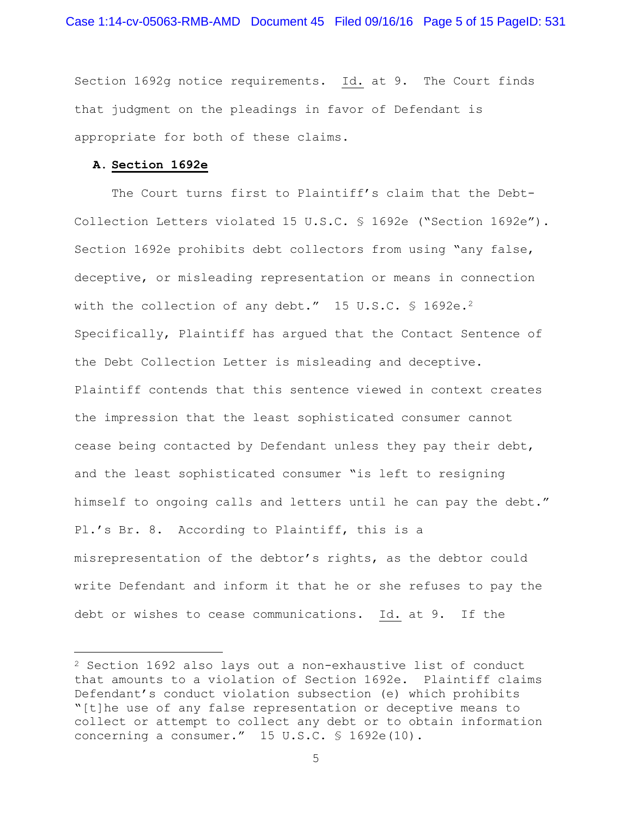Section 1692g notice requirements. Id. at 9. The Court finds that judgment on the pleadings in favor of Defendant is appropriate for both of these claims.

### **A. Section 1692e**

L,

The Court turns first to Plaintiff's claim that the Debt-Collection Letters violated 15 U.S.C. § 1692e ("Section 1692e"). Section 1692e prohibits debt collectors from using "any false, deceptive, or misleading representation or means in connection with the collection of any debt." 15 U.S.C. § 1692e.<sup>2</sup> Specifically, Plaintiff has argued that the Contact Sentence of the Debt Collection Letter is misleading and deceptive. Plaintiff contends that this sentence viewed in context creates the impression that the least sophisticated consumer cannot cease being contacted by Defendant unless they pay their debt, and the least sophisticated consumer "is left to resigning himself to ongoing calls and letters until he can pay the debt." Pl.'s Br. 8. According to Plaintiff, this is a misrepresentation of the debtor's rights, as the debtor could write Defendant and inform it that he or she refuses to pay the debt or wishes to cease communications. Id. at 9. If the

<sup>2</sup> Section 1692 also lays out a non-exhaustive list of conduct that amounts to a violation of Section 1692e. Plaintiff claims Defendant's conduct violation subsection (e) which prohibits "[t]he use of any false representation or deceptive means to collect or attempt to collect any debt or to obtain information concerning a consumer." 15 U.S.C. § 1692e(10).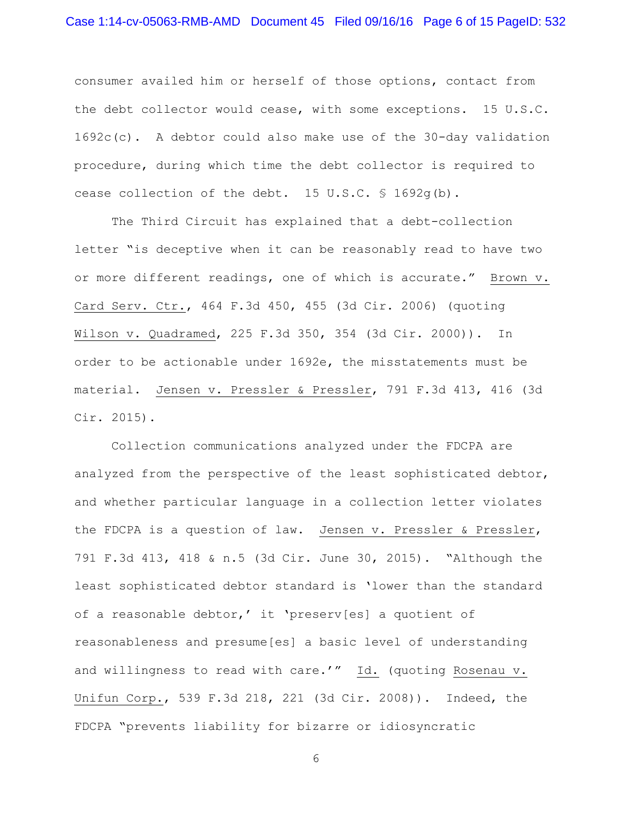consumer availed him or herself of those options, contact from the debt collector would cease, with some exceptions. 15 U.S.C. 1692c(c). A debtor could also make use of the 30-day validation procedure, during which time the debt collector is required to cease collection of the debt. 15 U.S.C. § 1692g(b).

 The Third Circuit has explained that a debt-collection letter "is deceptive when it can be reasonably read to have two or more different readings, one of which is accurate." Brown v. Card Serv. Ctr., 464 F.3d 450, 455 (3d Cir. 2006) (quoting Wilson v. Quadramed, 225 F.3d 350, 354 (3d Cir. 2000)). In order to be actionable under 1692e, the misstatements must be material. Jensen v. Pressler & Pressler, 791 F.3d 413, 416 (3d Cir. 2015).

 Collection communications analyzed under the FDCPA are analyzed from the perspective of the least sophisticated debtor, and whether particular language in a collection letter violates the FDCPA is a question of law. Jensen v. Pressler & Pressler, 791 F.3d 413, 418 & n.5 (3d Cir. June 30, 2015). "Although the least sophisticated debtor standard is 'lower than the standard of a reasonable debtor,' it 'preserv[es] a quotient of reasonableness and presume[es] a basic level of understanding and willingness to read with care.'" Id. (quoting Rosenau v. Unifun Corp., 539 F.3d 218, 221 (3d Cir. 2008)). Indeed, the FDCPA "prevents liability for bizarre or idiosyncratic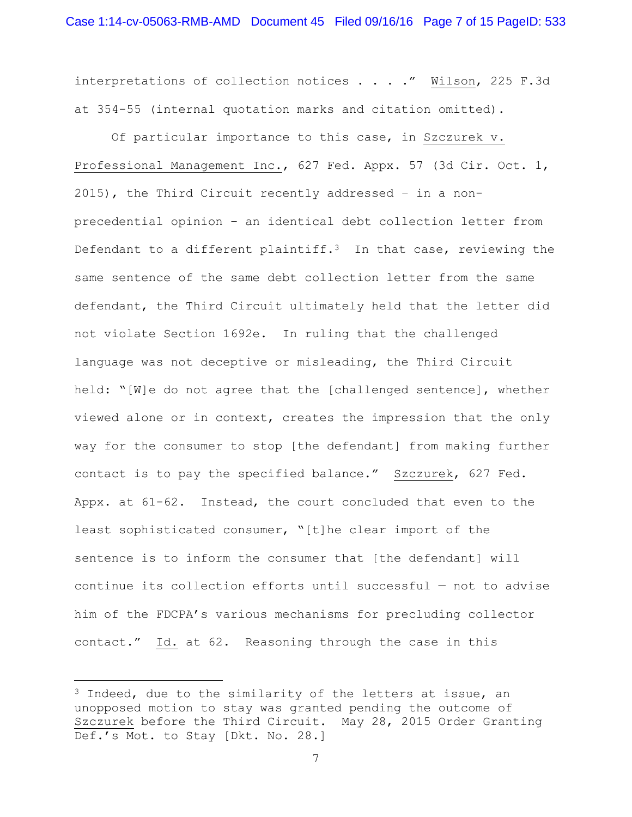interpretations of collection notices . . . ." Wilson, 225 F.3d at 354-55 (internal quotation marks and citation omitted).

 Of particular importance to this case, in Szczurek v. Professional Management Inc., 627 Fed. Appx. 57 (3d Cir. Oct. 1, 2015), the Third Circuit recently addressed – in a nonprecedential opinion – an identical debt collection letter from Defendant to a different plaintiff.<sup>3</sup> In that case, reviewing the same sentence of the same debt collection letter from the same defendant, the Third Circuit ultimately held that the letter did not violate Section 1692e. In ruling that the challenged language was not deceptive or misleading, the Third Circuit held: "[W]e do not agree that the [challenged sentence], whether viewed alone or in context, creates the impression that the only way for the consumer to stop [the defendant] from making further contact is to pay the specified balance." Szczurek, 627 Fed. Appx. at 61-62. Instead, the court concluded that even to the least sophisticated consumer, "[t]he clear import of the sentence is to inform the consumer that [the defendant] will continue its collection efforts until successful — not to advise him of the FDCPA's various mechanisms for precluding collector contact." Id. at 62. Reasoning through the case in this

÷.

 $3$  Indeed, due to the similarity of the letters at issue, an unopposed motion to stay was granted pending the outcome of Szczurek before the Third Circuit. May 28, 2015 Order Granting Def.'s Mot. to Stay [Dkt. No. 28.]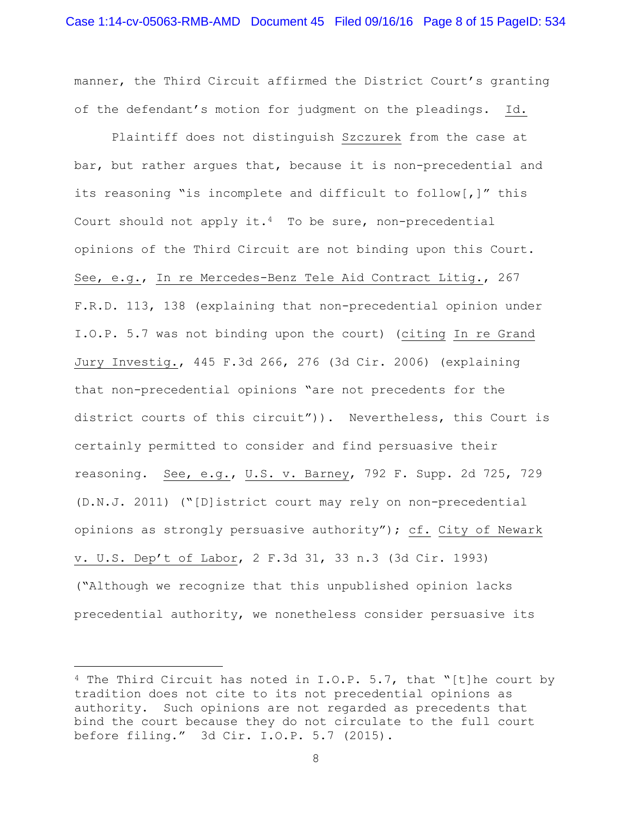manner, the Third Circuit affirmed the District Court's granting of the defendant's motion for judgment on the pleadings. Id.

 Plaintiff does not distinguish Szczurek from the case at bar, but rather argues that, because it is non-precedential and its reasoning "is incomplete and difficult to follow[,]" this Court should not apply it.<sup>4</sup> To be sure, non-precedential opinions of the Third Circuit are not binding upon this Court. See, e.g., In re Mercedes-Benz Tele Aid Contract Litig., 267 F.R.D. 113, 138 (explaining that non-precedential opinion under I.O.P. 5.7 was not binding upon the court) (citing In re Grand Jury Investig., 445 F.3d 266, 276 (3d Cir. 2006) (explaining that non-precedential opinions "are not precedents for the district courts of this circuit")). Nevertheless, this Court is certainly permitted to consider and find persuasive their reasoning. See, e.g., U.S. v. Barney, 792 F. Supp. 2d 725, 729 (D.N.J. 2011) ("[D]istrict court may rely on non-precedential opinions as strongly persuasive authority"); cf. City of Newark v. U.S. Dep't of Labor, 2 F.3d 31, 33 n.3 (3d Cir. 1993) ("Although we recognize that this unpublished opinion lacks precedential authority, we nonetheless consider persuasive its

i<br>L

<sup>&</sup>lt;sup>4</sup> The Third Circuit has noted in I.O.P. 5.7, that "[t]he court by tradition does not cite to its not precedential opinions as authority. Such opinions are not regarded as precedents that bind the court because they do not circulate to the full court before filing." 3d Cir. I.O.P. 5.7 (2015).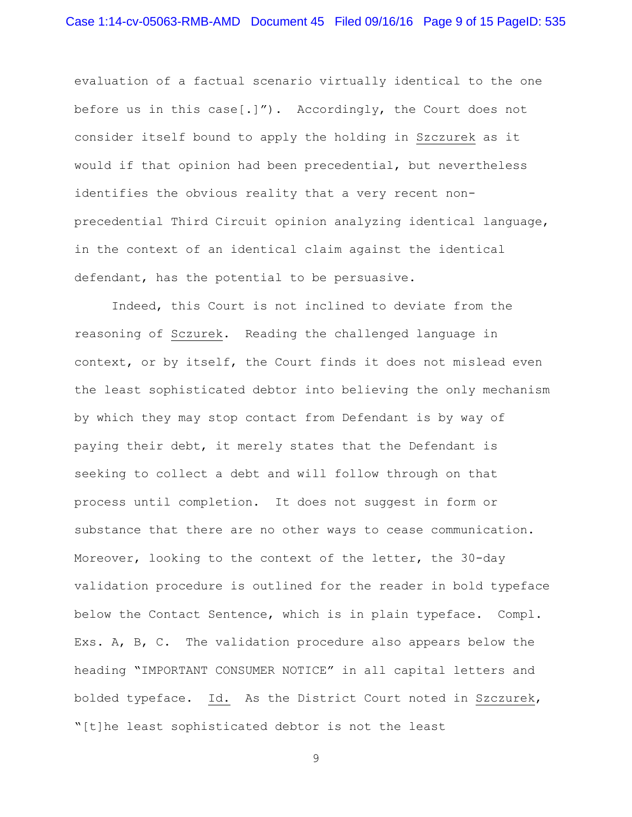evaluation of a factual scenario virtually identical to the one before us in this case[.]"). Accordingly, the Court does not consider itself bound to apply the holding in Szczurek as it would if that opinion had been precedential, but nevertheless identifies the obvious reality that a very recent nonprecedential Third Circuit opinion analyzing identical language, in the context of an identical claim against the identical defendant, has the potential to be persuasive.

 Indeed, this Court is not inclined to deviate from the reasoning of Sczurek. Reading the challenged language in context, or by itself, the Court finds it does not mislead even the least sophisticated debtor into believing the only mechanism by which they may stop contact from Defendant is by way of paying their debt, it merely states that the Defendant is seeking to collect a debt and will follow through on that process until completion. It does not suggest in form or substance that there are no other ways to cease communication. Moreover, looking to the context of the letter, the 30-day validation procedure is outlined for the reader in bold typeface below the Contact Sentence, which is in plain typeface. Compl. Exs. A, B, C. The validation procedure also appears below the heading "IMPORTANT CONSUMER NOTICE" in all capital letters and bolded typeface. Id. As the District Court noted in Szczurek, "[t]he least sophisticated debtor is not the least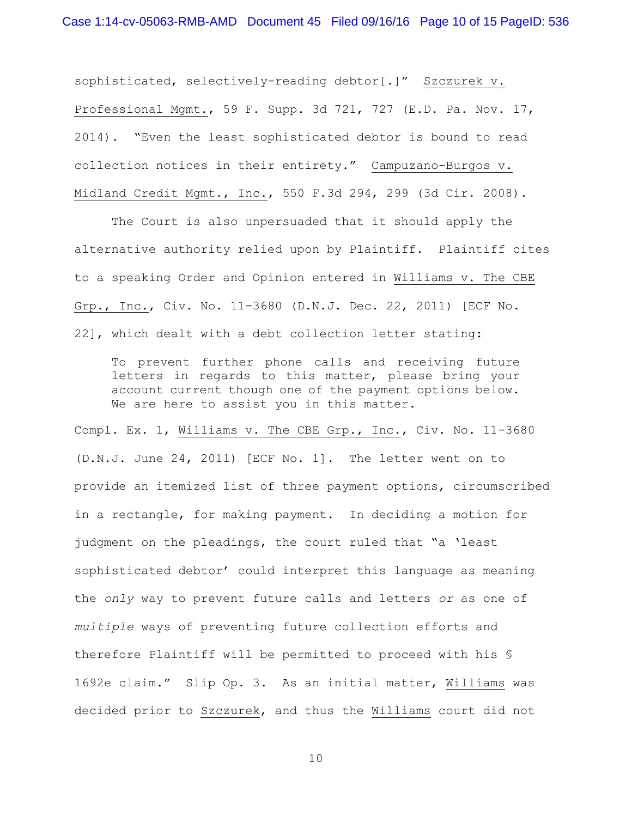sophisticated, selectively-reading debtor[.]" Szczurek v. Professional Mgmt., 59 F. Supp. 3d 721, 727 (E.D. Pa. Nov. 17, 2014). "Even the least sophisticated debtor is bound to read collection notices in their entirety." Campuzano-Burgos v. Midland Credit Mgmt., Inc., 550 F.3d 294, 299 (3d Cir. 2008).

 The Court is also unpersuaded that it should apply the alternative authority relied upon by Plaintiff. Plaintiff cites to a speaking Order and Opinion entered in Williams v. The CBE Grp., Inc., Civ. No. 11-3680 (D.N.J. Dec. 22, 2011) [ECF No. 22], which dealt with a debt collection letter stating:

To prevent further phone calls and receiving future letters in regards to this matter, please bring your account current though one of the payment options below. We are here to assist you in this matter.

Compl. Ex. 1, Williams v. The CBE Grp., Inc., Civ. No. 11-3680 (D.N.J. June 24, 2011) [ECF No. 1]. The letter went on to provide an itemized list of three payment options, circumscribed in a rectangle, for making payment. In deciding a motion for judgment on the pleadings, the court ruled that "a 'least sophisticated debtor' could interpret this language as meaning the *only* way to prevent future calls and letters *or* as one of *multiple* ways of preventing future collection efforts and therefore Plaintiff will be permitted to proceed with his § 1692e claim." Slip Op. 3. As an initial matter, Williams was decided prior to Szczurek, and thus the Williams court did not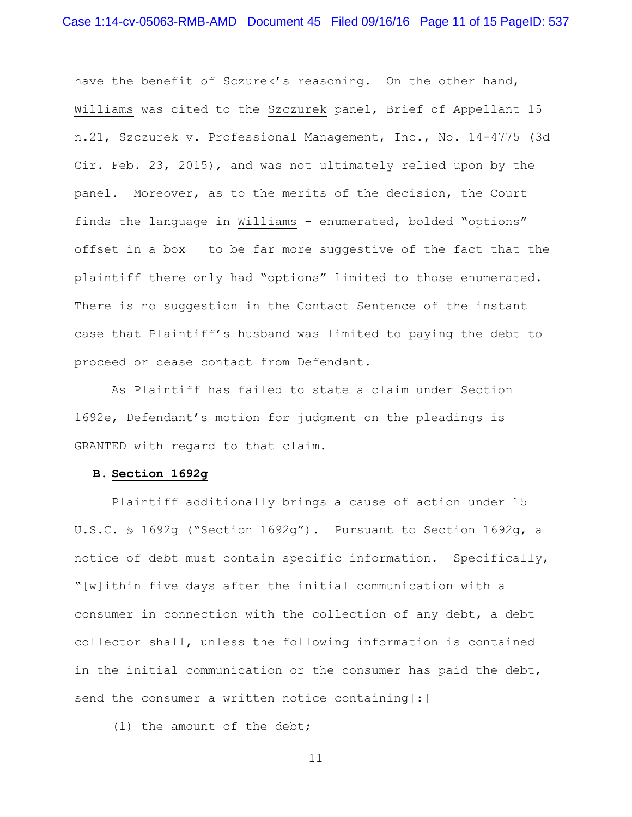have the benefit of Sczurek's reasoning. On the other hand, Williams was cited to the Szczurek panel, Brief of Appellant 15 n.21, Szczurek v. Professional Management, Inc., No. 14-4775 (3d Cir. Feb. 23, 2015), and was not ultimately relied upon by the panel. Moreover, as to the merits of the decision, the Court finds the language in Williams – enumerated, bolded "options" offset in a box – to be far more suggestive of the fact that the plaintiff there only had "options" limited to those enumerated. There is no suggestion in the Contact Sentence of the instant case that Plaintiff's husband was limited to paying the debt to proceed or cease contact from Defendant.

 As Plaintiff has failed to state a claim under Section 1692e, Defendant's motion for judgment on the pleadings is GRANTED with regard to that claim.

#### **B. Section 1692g**

 Plaintiff additionally brings a cause of action under 15 U.S.C. § 1692g ("Section 1692g"). Pursuant to Section 1692g, a notice of debt must contain specific information. Specifically, "[w]ithin five days after the initial communication with a consumer in connection with the collection of any debt, a debt collector shall, unless the following information is contained in the initial communication or the consumer has paid the debt, send the consumer a written notice containing[:]

(1) the amount of the debt;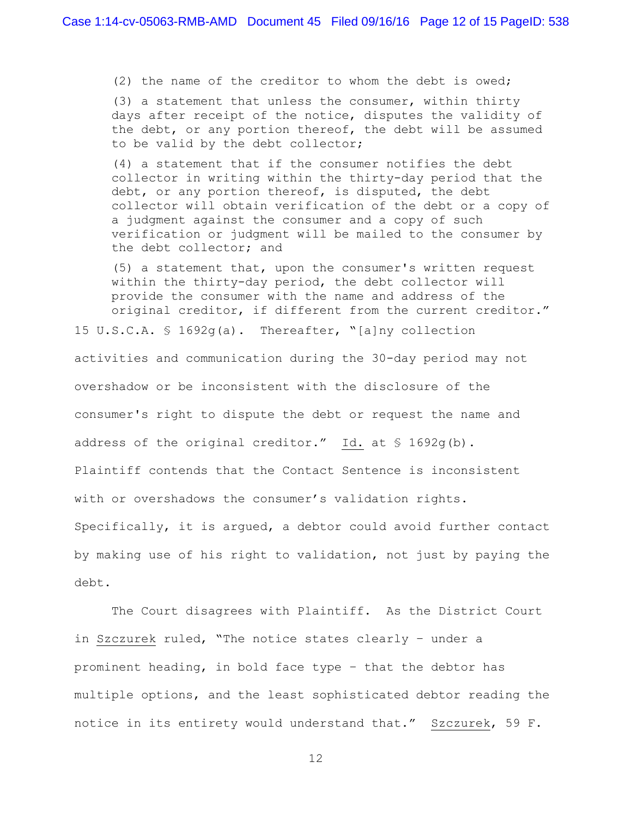(2) the name of the creditor to whom the debt is owed;

(3) a statement that unless the consumer, within thirty days after receipt of the notice, disputes the validity of the debt, or any portion thereof, the debt will be assumed to be valid by the debt collector;

(4) a statement that if the consumer notifies the debt collector in writing within the thirty-day period that the debt, or any portion thereof, is disputed, the debt collector will obtain verification of the debt or a copy of a judgment against the consumer and a copy of such verification or judgment will be mailed to the consumer by the debt collector; and

(5) a statement that, upon the consumer's written request within the thirty-day period, the debt collector will provide the consumer with the name and address of the original creditor, if different from the current creditor."

15 U.S.C.A. § 1692g(a). Thereafter, "[a]ny collection

activities and communication during the 30-day period may not overshadow or be inconsistent with the disclosure of the consumer's right to dispute the debt or request the name and address of the original creditor." Id. at § 1692q(b). Plaintiff contends that the Contact Sentence is inconsistent with or overshadows the consumer's validation rights. Specifically, it is argued, a debtor could avoid further contact by making use of his right to validation, not just by paying the debt.

 The Court disagrees with Plaintiff. As the District Court in Szczurek ruled, "The notice states clearly – under a prominent heading, in bold face type – that the debtor has multiple options, and the least sophisticated debtor reading the notice in its entirety would understand that." Szczurek, 59 F.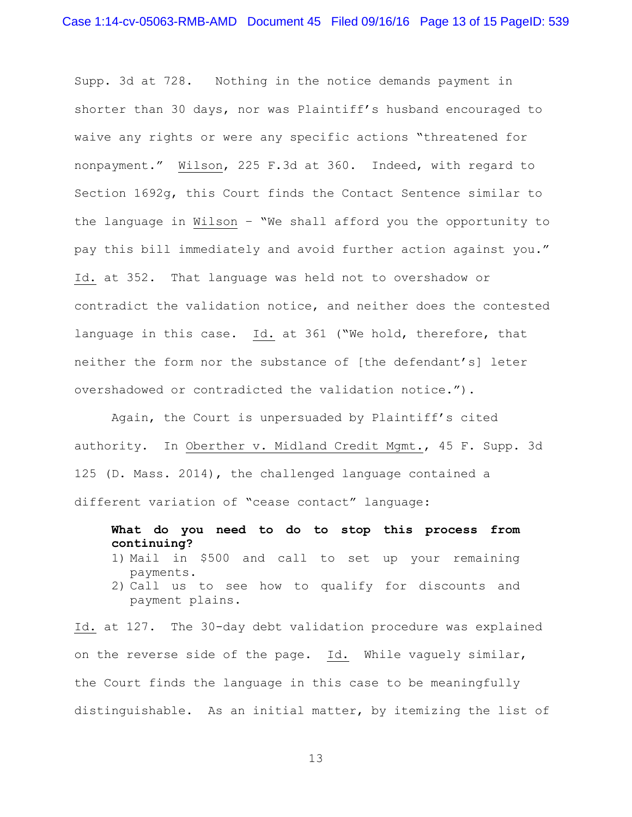Supp. 3d at 728. Nothing in the notice demands payment in shorter than 30 days, nor was Plaintiff's husband encouraged to waive any rights or were any specific actions "threatened for nonpayment." Wilson, 225 F.3d at 360. Indeed, with regard to Section 1692g, this Court finds the Contact Sentence similar to the language in Wilson – "We shall afford you the opportunity to pay this bill immediately and avoid further action against you." Id. at 352. That language was held not to overshadow or contradict the validation notice, and neither does the contested language in this case. Id. at 361 ("We hold, therefore, that neither the form nor the substance of [the defendant's] leter overshadowed or contradicted the validation notice.").

Again, the Court is unpersuaded by Plaintiff's cited authority. In Oberther v. Midland Credit Mgmt., 45 F. Supp. 3d 125 (D. Mass. 2014), the challenged language contained a different variation of "cease contact" language:

**What do you need to do to stop this process from continuing?** 

- 1) Mail in \$500 and call to set up your remaining payments.
- 2) Call us to see how to qualify for discounts and payment plains.

Id. at 127. The 30-day debt validation procedure was explained on the reverse side of the page. Id. While vaguely similar, the Court finds the language in this case to be meaningfully distinguishable. As an initial matter, by itemizing the list of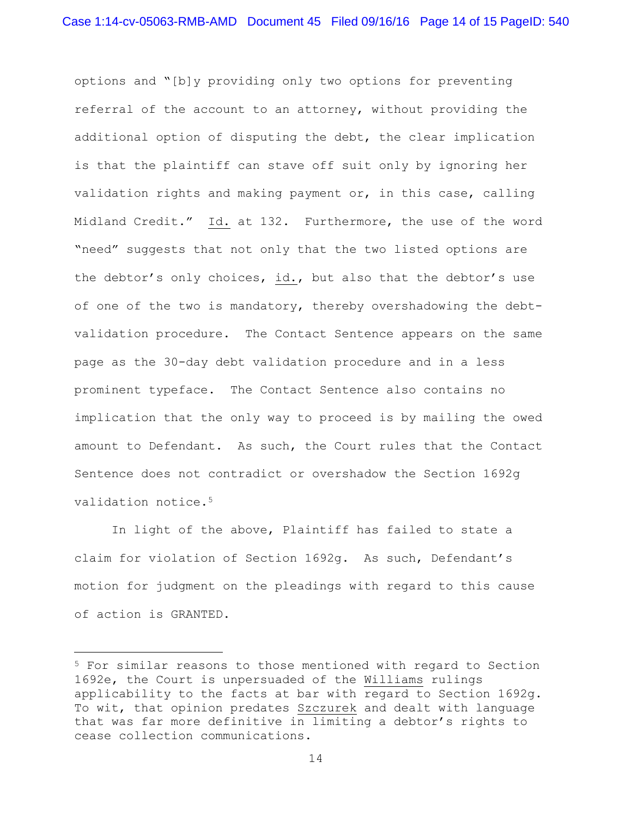options and "[b]y providing only two options for preventing referral of the account to an attorney, without providing the additional option of disputing the debt, the clear implication is that the plaintiff can stave off suit only by ignoring her validation rights and making payment or, in this case, calling Midland Credit." Id. at 132. Furthermore, the use of the word "need" suggests that not only that the two listed options are the debtor's only choices, id., but also that the debtor's use of one of the two is mandatory, thereby overshadowing the debtvalidation procedure. The Contact Sentence appears on the same page as the 30-day debt validation procedure and in a less prominent typeface. The Contact Sentence also contains no implication that the only way to proceed is by mailing the owed amount to Defendant. As such, the Court rules that the Contact Sentence does not contradict or overshadow the Section 1692g validation notice.<sup>5</sup>

 In light of the above, Plaintiff has failed to state a claim for violation of Section 1692g. As such, Defendant's motion for judgment on the pleadings with regard to this cause of action is GRANTED.

L,

<sup>5</sup> For similar reasons to those mentioned with regard to Section 1692e, the Court is unpersuaded of the Williams rulings applicability to the facts at bar with regard to Section 1692g. To wit, that opinion predates Szczurek and dealt with language that was far more definitive in limiting a debtor's rights to cease collection communications.